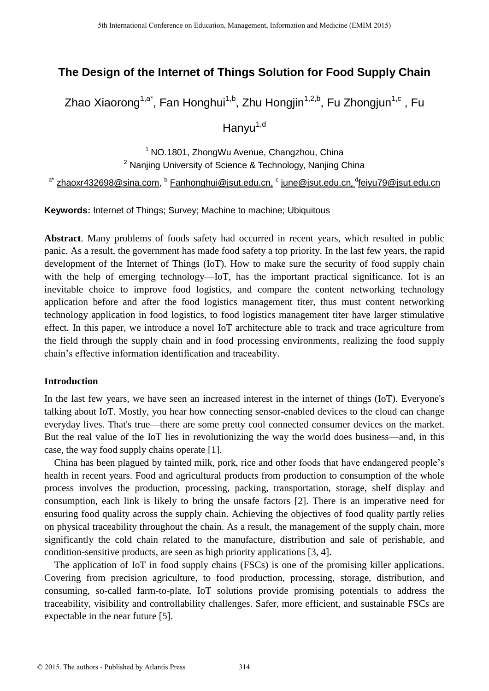# **The Design of the Internet of Things Solution for Food Supply Chain**

Zhao Xiaorong<sup>1,a\*</sup>, Fan Honghui<sup>1,b</sup>, Zhu Hongjin<sup>1,2,b</sup>, Fu Zhongjun<sup>1,c</sup> , Fu

Hanyu<sup>1,d</sup>

<sup>1</sup> NO.1801, ZhongWu Avenue, Changzhou, China <sup>2</sup> Nanjing University of Science & Technology, Nanjing China

<sup>a\*</sup> [zhaoxr432698@sina.com,](mailto:zhaoxr432698@sina.com) <sup>b</sup> [Fanhonghui@jsut.edu.cn,](mailto:Fanhonghui@jsut.edu.cn) <sup>c</sup> [june@jsut.edu.cn](mailto:june@jsut.edu.cn)*,* <sup>d</sup>[feiyu79@jsut.edu.cn](mailto:feiyu79@jsut.edu.cn)

**Keywords:** Internet of Things; Survey; Machine to machine; Ubiquitous

**Abstract**. Many problems of foods safety had occurred in recent years, which resulted in public panic. As a result, the government has made food safety a top priority. In the last few years, the rapid development of the Internet of Things (IoT). How to make sure the security of food supply chain with the help of emerging technology—IoT, has the important practical significance. Iot is an inevitable choice to improve food logistics, and compare the content networking technology application before and after the food logistics management titer, thus must content networking technology application in food logistics, to food logistics management titer have larger stimulative effect. In this paper, we introduce a novel IoT architecture able to track and trace agriculture from the field through the supply chain and in food processing environments, realizing the food supply chain's effective information identification and traceability.

## **Introduction**

In the last few years, we have seen an increased interest in the internet of things (IoT). Everyone's talking about IoT. Mostly, you hear how connecting sensor-enabled devices to the cloud can change everyday lives. That's true—there are some pretty cool connected consumer devices on the market. But the real value of the IoT lies in revolutionizing the way the world does business—and, in this case, the way food supply chains operate [1].

China has been plagued by tainted milk, pork, rice and other foods that have endangered people's health in recent years. Food and agricultural products from production to consumption of the whole process involves the production, processing, packing, transportation, storage, shelf display and consumption, each link is likely to bring the unsafe factors [2]. There is an imperative need for ensuring food quality across the supply chain. Achieving the objectives of food quality partly relies on physical traceability throughout the chain. As a result, the management of the supply chain, more significantly the cold chain related to the manufacture, distribution and sale of perishable, and condition-sensitive products, are seen as high priority applications [3, 4].

The application of IoT in food supply chains (FSCs) is one of the promising killer applications. Covering from precision agriculture, to food production, processing, storage, distribution, and consuming, so-called farm-to-plate, IoT solutions provide promising potentials to address the traceability, visibility and controllability challenges. Safer, more efficient, and sustainable FSCs are expectable in the near future [5].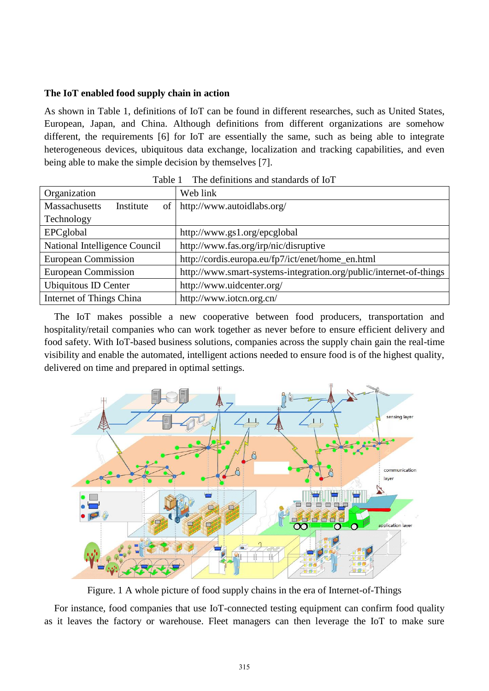## **The IoT enabled food supply chain in action**

As shown in Table 1, definitions of IoT can be found in different researches, such as United States, European, Japan, and China. Although definitions from different organizations are somehow different, the requirements [6] for IoT are essentially the same, such as being able to integrate heterogeneous devices, ubiquitous data exchange, localization and tracking capabilities, and even being able to make the simple decision by themselves [7].

| Organization                  | Web link                                                           |
|-------------------------------|--------------------------------------------------------------------|
| Massachusetts<br>Institute    | of   http://www.autoidlabs.org/                                    |
| Technology                    |                                                                    |
| EPCglobal                     | http://www.gs1.org/epcglobal                                       |
| National Intelligence Council | http://www.fas.org/irp/nic/disruptive                              |
| <b>European Commission</b>    | http://cordis.europa.eu/fp7/ict/enet/home_en.html                  |
| <b>European Commission</b>    | http://www.smart-systems-integration.org/public/internet-of-things |
| Ubiquitous ID Center          | http://www.uidcenter.org/                                          |
| Internet of Things China      | http://www.iotcn.org.cn/                                           |

| Table 1 | The definitions and standards of IoT |
|---------|--------------------------------------|
|---------|--------------------------------------|

The IoT makes possible a new cooperative between food producers, transportation and hospitality/retail companies who can work together as never before to ensure efficient delivery and food safety. With IoT-based business solutions, companies across the supply chain gain the real-time visibility and enable the automated, intelligent actions needed to ensure food is of the highest quality, delivered on time and prepared in optimal settings.



Figure. 1 A whole picture of food supply chains in the era of Internet-of-Things

For instance, food companies that use IoT-connected testing equipment can confirm food quality as it leaves the factory or warehouse. Fleet managers can then leverage the IoT to make sure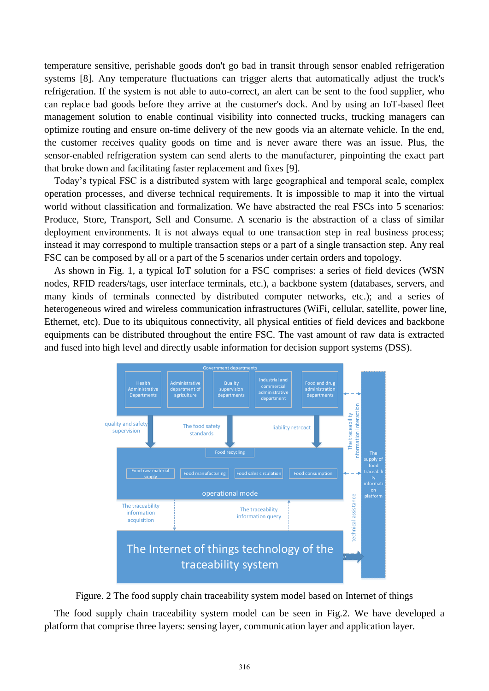temperature sensitive, perishable goods don't go bad in transit through sensor enabled refrigeration systems [8]. Any temperature fluctuations can trigger alerts that automatically adjust the truck's refrigeration. If the system is not able to auto-correct, an alert can be sent to the food supplier, who can replace bad goods before they arrive at the customer's dock. And by using an IoT-based fleet management solution to enable continual visibility into connected trucks, trucking managers can optimize routing and ensure on-time delivery of the new goods via an alternate vehicle. In the end, the customer receives quality goods on time and is never aware there was an issue. Plus, the sensor-enabled refrigeration system can send alerts to the manufacturer, pinpointing the exact part that broke down and facilitating faster replacement and fixes [9].

Today's typical FSC is a distributed system with large geographical and temporal scale, complex operation processes, and diverse technical requirements. It is impossible to map it into the virtual world without classification and formalization. We have abstracted the real FSCs into 5 scenarios: Produce, Store, Transport, Sell and Consume. A scenario is the abstraction of a class of similar deployment environments. It is not always equal to one transaction step in real business process; instead it may correspond to multiple transaction steps or a part of a single transaction step. Any real FSC can be composed by all or a part of the 5 scenarios under certain orders and topology.

As shown in Fig. 1, a typical IoT solution for a FSC comprises: a series of field devices (WSN nodes, RFID readers/tags, user interface terminals, etc.), a backbone system (databases, servers, and many kinds of terminals connected by distributed computer networks, etc.); and a series of heterogeneous wired and wireless communication infrastructures (WiFi, cellular, satellite, power line, Ethernet, etc). Due to its ubiquitous connectivity, all physical entities of field devices and backbone equipments can be distributed throughout the entire FSC. The vast amount of raw data is extracted and fused into high level and directly usable information for decision support systems (DSS).



Figure. 2 The food supply chain traceability system model based on Internet of things

The food supply chain traceability system model can be seen in Fig.2. We have developed a platform that comprise three layers: sensing layer, communication layer and application layer.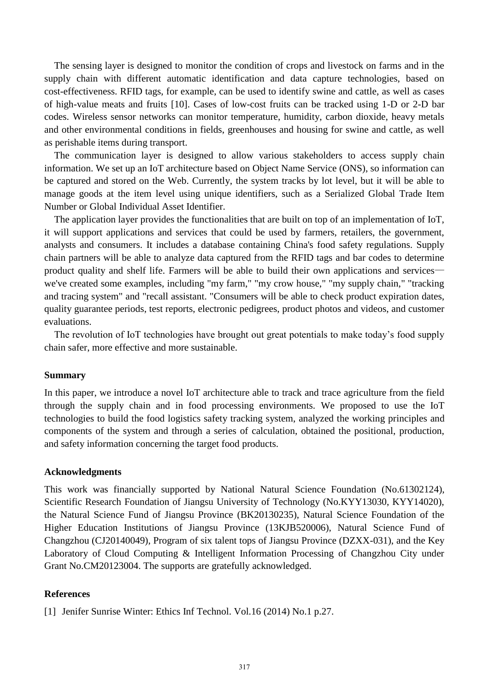The sensing layer is designed to monitor the condition of crops and livestock on farms and in the supply chain with different automatic identification and data capture technologies, based on cost-effectiveness. RFID tags, for example, can be used to identify swine and cattle, as well as cases of high-value meats and fruits [10]. Cases of low-cost fruits can be tracked using 1-D or 2-D bar codes. Wireless sensor networks can monitor temperature, humidity, carbon dioxide, heavy metals and other environmental conditions in fields, greenhouses and housing for swine and cattle, as well as perishable items during transport.

The communication layer is designed to allow various stakeholders to access supply chain information. We set up an IoT architecture based on Object Name Service (ONS), so information can be captured and stored on the Web. Currently, the system tracks by lot level, but it will be able to manage goods at the item level using unique identifiers, such as a Serialized Global Trade Item Number or Global Individual Asset Identifier.

The application layer provides the functionalities that are built on top of an implementation of IoT, it will support applications and services that could be used by farmers, retailers, the government, analysts and consumers. It includes a database containing China's food safety regulations. Supply chain partners will be able to analyze data captured from the RFID tags and bar codes to determine product quality and shelf life. Farmers will be able to build their own applications and services we've created some examples, including "my farm," "my crow house," "my supply chain," "tracking and tracing system" and "recall assistant. "Consumers will be able to check product expiration dates, quality guarantee periods, test reports, electronic pedigrees, product photos and videos, and customer evaluations.

The revolution of IoT technologies have brought out great potentials to make today's food supply chain safer, more effective and more sustainable.

#### **Summary**

In this paper, we introduce a novel IoT architecture able to track and trace agriculture from the field through the supply chain and in food processing environments. We proposed to use the IoT technologies to build the food logistics safety tracking system, analyzed the working principles and components of the system and through a series of calculation, obtained the positional, production, and safety information concerning the target food products.

#### **Acknowledgments**

This work was financially supported by National Natural Science Foundation (No.61302124), Scientific Research Foundation of Jiangsu University of Technology (No.KYY13030, KYY14020), the Natural Science Fund of Jiangsu Province (BK20130235), Natural Science Foundation of the Higher Education Institutions of Jiangsu Province (13KJB520006), Natural Science Fund of Changzhou (CJ20140049), Program of six talent tops of Jiangsu Province (DZXX-031), and the Key Laboratory of Cloud Computing & Intelligent Information Processing of Changzhou City under Grant No.CM20123004. The supports are gratefully acknowledged.

### **References**

[1] Jenifer Sunrise Winter: Ethics Inf Technol. Vol.16 (2014) No.1 p.27.